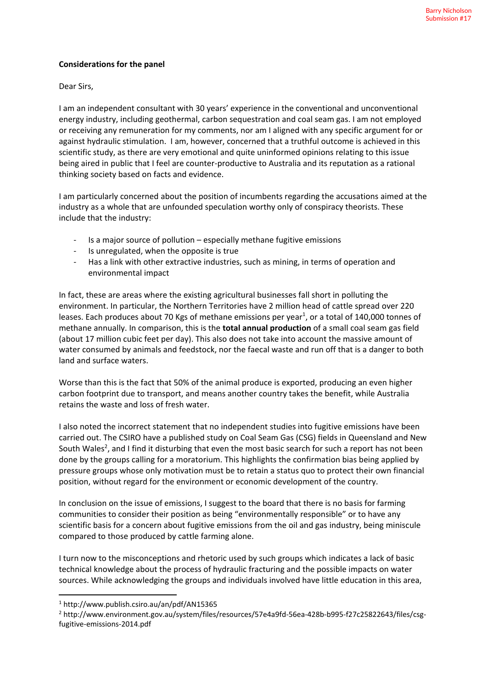## **Considerations for the panel**

Dear Sirs,

I am an independent consultant with 30 years' experience in the conventional and unconventional energy industry, including geothermal, carbon sequestration and coal seam gas. I am not employed or receiving any remuneration for my comments, nor am I aligned with any specific argument for or against hydraulic stimulation. I am, however, concerned that a truthful outcome is achieved in this scientific study, as there are very emotional and quite uninformed opinions relating to this issue being aired in public that I feel are counter-productive to Australia and its reputation as a rational thinking society based on facts and evidence.

I am particularly concerned about the position of incumbents regarding the accusations aimed at the industry as a whole that are unfounded speculation worthy only of conspiracy theorists. These include that the industry:

- Is a major source of pollution especially methane fugitive emissions
- Is unregulated, when the opposite is true
- Has a link with other extractive industries, such as mining, in terms of operation and environmental impact

In fact, these are areas where the existing agricultural businesses fall short in polluting the environment. In particular, the Northern Territories have 2 million head of cattle spread over 220 leases. Each produces about 70 Kgs of methane emissions per year<sup>1</sup>, or a total of 140,000 tonnes of methane annually. In comparison, this is the **total annual production** of a small coal seam gas field (about 17 million cubic feet per day). This also does not take into account the massive amount of water consumed by animals and feedstock, nor the faecal waste and run off that is a danger to both land and surface waters.

Worse than this is the fact that 50% of the animal produce is exported, producing an even higher carbon footprint due to transport, and means another country takes the benefit, while Australia retains the waste and loss of fresh water.

I also noted the incorrect statement that no independent studies into fugitive emissions have been carried out. The CSIRO have a published study on Coal Seam Gas (CSG) fields in Queensland and New South Wales<sup>2</sup>, and I find it disturbing that even the most basic search for such a report has not been done by the groups calling for a moratorium. This highlights the confirmation bias being applied by pressure groups whose only motivation must be to retain a status quo to protect their own financial position, without regard for the environment or economic development of the country.

In conclusion on the issue of emissions, I suggest to the board that there is no basis for farming communities to consider their position as being "environmentally responsible" or to have any scientific basis for a concern about fugitive emissions from the oil and gas industry, being miniscule compared to those produced by cattle farming alone.

I turn now to the misconceptions and rhetoric used by such groups which indicates a lack of basic technical knowledge about the process of hydraulic fracturing and the possible impacts on water sources. While acknowledging the groups and individuals involved have little education in this area,

<sup>1</sup> http://www.publish.csiro.au/an/pdf/AN15365

<sup>2</sup> http://www.environment.gov.au/system/files/resources/57e4a9fd-56ea-428b-b995-f27c25822643/files/csgfugitive-emissions-2014.pdf